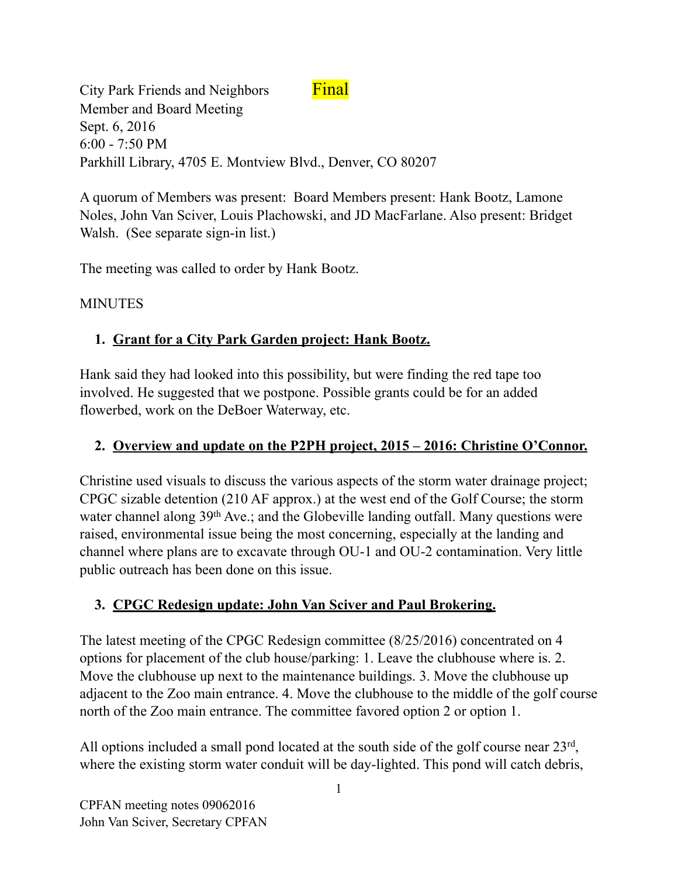City Park Friends and Neighbors Final Member and Board Meeting Sept. 6, 2016 6:00 - 7:50 PM Parkhill Library, 4705 E. Montview Blvd., Denver, CO 80207

A quorum of Members was present: Board Members present: Hank Bootz, Lamone Noles, John Van Sciver, Louis Plachowski, and JD MacFarlane. Also present: Bridget Walsh. (See separate sign-in list.)

The meeting was called to order by Hank Bootz.

#### MINUTES

## **1. Grant for a City Park Garden project: Hank Bootz.**

Hank said they had looked into this possibility, but were finding the red tape too involved. He suggested that we postpone. Possible grants could be for an added flowerbed, work on the DeBoer Waterway, etc.

### **2. Overview and update on the P2PH project, 2015 – 2016: Christine O'Connor.**

Christine used visuals to discuss the various aspects of the storm water drainage project; CPGC sizable detention (210 AF approx.) at the west end of the Golf Course; the storm water channel along 39<sup>th</sup> Ave.; and the Globeville landing outfall. Many questions were raised, environmental issue being the most concerning, especially at the landing and channel where plans are to excavate through OU-1 and OU-2 contamination. Very little public outreach has been done on this issue.

### **3. CPGC Redesign update: John Van Sciver and Paul Brokering.**

The latest meeting of the CPGC Redesign committee (8/25/2016) concentrated on 4 options for placement of the club house/parking: 1. Leave the clubhouse where is. 2. Move the clubhouse up next to the maintenance buildings. 3. Move the clubhouse up adjacent to the Zoo main entrance. 4. Move the clubhouse to the middle of the golf course north of the Zoo main entrance. The committee favored option 2 or option 1.

All options included a small pond located at the south side of the golf course near 23<sup>rd</sup>, where the existing storm water conduit will be day-lighted. This pond will catch debris,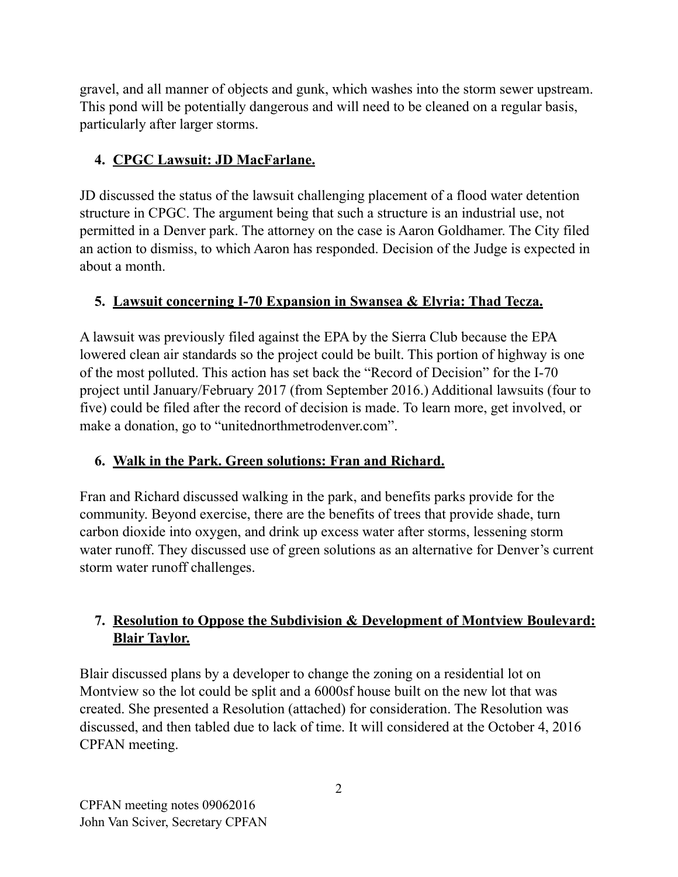gravel, and all manner of objects and gunk, which washes into the storm sewer upstream. This pond will be potentially dangerous and will need to be cleaned on a regular basis, particularly after larger storms.

# **4. CPGC Lawsuit: JD MacFarlane.**

JD discussed the status of the lawsuit challenging placement of a flood water detention structure in CPGC. The argument being that such a structure is an industrial use, not permitted in a Denver park. The attorney on the case is Aaron Goldhamer. The City filed an action to dismiss, to which Aaron has responded. Decision of the Judge is expected in about a month.

# **5. Lawsuit concerning I-70 Expansion in Swansea & Elyria: Thad Tecza.**

A lawsuit was previously filed against the EPA by the Sierra Club because the EPA lowered clean air standards so the project could be built. This portion of highway is one of the most polluted. This action has set back the "Record of Decision" for the I-70 project until January/February 2017 (from September 2016.) Additional lawsuits (four to five) could be filed after the record of decision is made. To learn more, get involved, or make a donation, go to "unitednorthmetrodenver.com".

# **6. Walk in the Park. Green solutions: Fran and Richard.**

Fran and Richard discussed walking in the park, and benefits parks provide for the community. Beyond exercise, there are the benefits of trees that provide shade, turn carbon dioxide into oxygen, and drink up excess water after storms, lessening storm water runoff. They discussed use of green solutions as an alternative for Denver's current storm water runoff challenges.

## **7. Resolution to Oppose the Subdivision & Development of Montview Boulevard: Blair Taylor.**

Blair discussed plans by a developer to change the zoning on a residential lot on Montview so the lot could be split and a 6000sf house built on the new lot that was created. She presented a Resolution (attached) for consideration. The Resolution was discussed, and then tabled due to lack of time. It will considered at the October 4, 2016 CPFAN meeting.